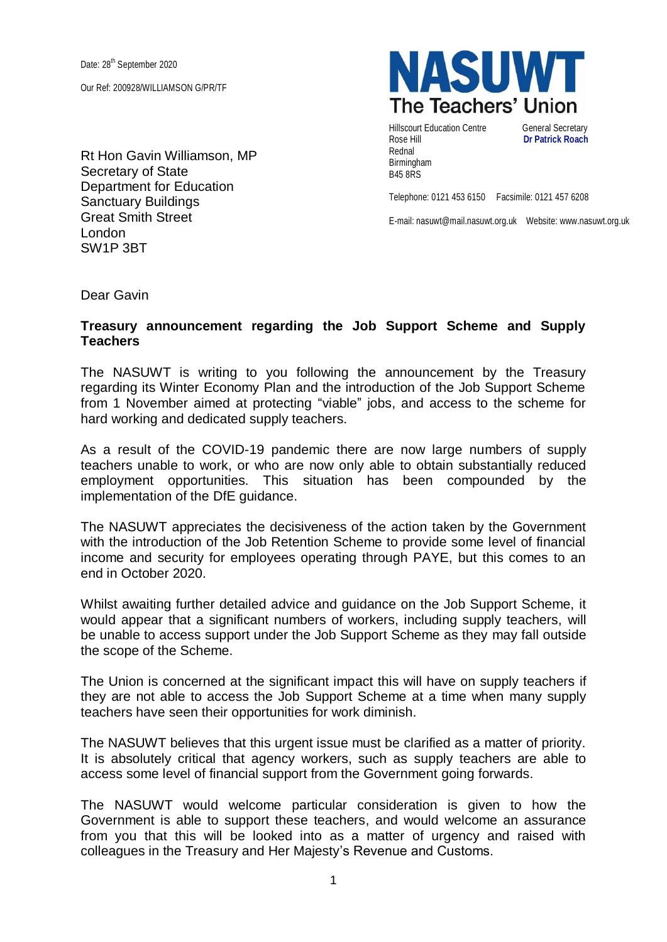Date: 28<sup>th</sup> September 2020

Our Ref: 200928/WILLIAMSON G/PR/TF

Rt Hon Gavin Williamson, MP Secretary of State Department for Education Sanctuary Buildings Great Smith Street London SW1P 3BT

**NASUW** The Teachers' Union

Hillscourt Education Centre **General Secretary** Rose Hill **Dr Patrick Roach** Rednal Birmingham B45 8RS

Telephone: 0121 453 6150 Facsimile: 0121 457 6208

E-mail: nasuwt@mail.nasuwt.org.uk Website: www.nasuwt.org.uk

Dear Gavin

## **Treasury announcement regarding the Job Support Scheme and Supply Teachers**

The NASUWT is writing to you following the announcement by the Treasury regarding its Winter Economy Plan and the introduction of the Job Support Scheme from 1 November aimed at protecting "viable" jobs, and access to the scheme for hard working and dedicated supply teachers.

As a result of the COVID-19 pandemic there are now large numbers of supply teachers unable to work, or who are now only able to obtain substantially reduced employment opportunities. This situation has been compounded by the implementation of the DfE guidance.

The NASUWT appreciates the decisiveness of the action taken by the Government with the introduction of the Job Retention Scheme to provide some level of financial income and security for employees operating through PAYE, but this comes to an end in October 2020.

Whilst awaiting further detailed advice and guidance on the Job Support Scheme, it would appear that a significant numbers of workers, including supply teachers, will be unable to access support under the Job Support Scheme as they may fall outside the scope of the Scheme.

The Union is concerned at the significant impact this will have on supply teachers if they are not able to access the Job Support Scheme at a time when many supply teachers have seen their opportunities for work diminish.

The NASUWT believes that this urgent issue must be clarified as a matter of priority. It is absolutely critical that agency workers, such as supply teachers are able to access some level of financial support from the Government going forwards.

The NASUWT would welcome particular consideration is given to how the Government is able to support these teachers, and would welcome an assurance from you that this will be looked into as a matter of urgency and raised with colleagues in the Treasury and Her Majesty's Revenue and Customs.